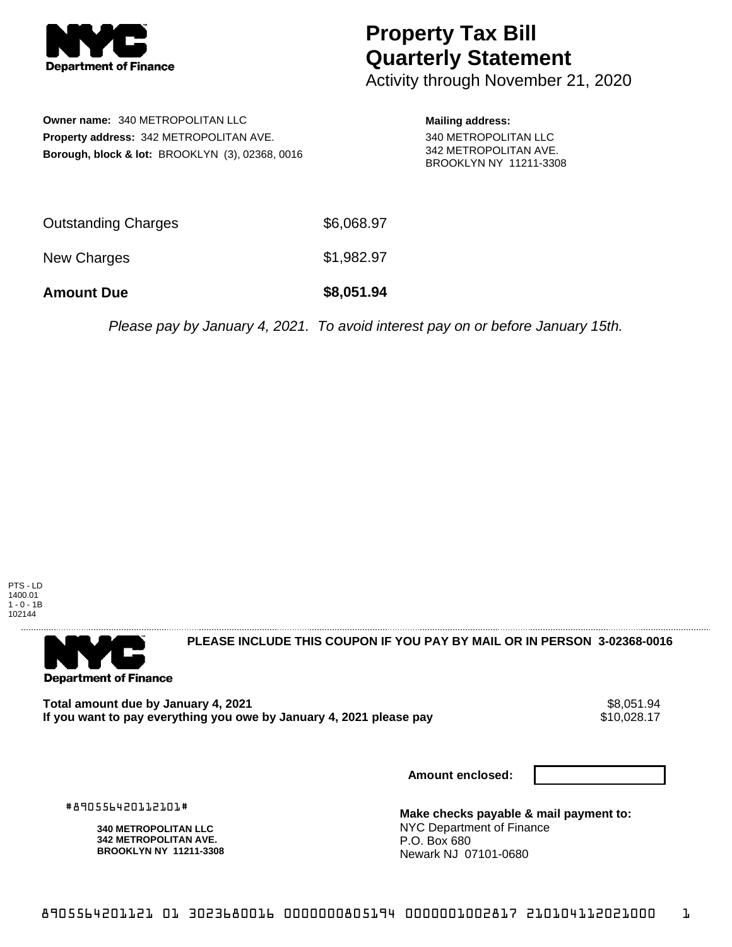

## **Property Tax Bill Quarterly Statement**

Activity through November 21, 2020

**Owner name:** 340 METROPOLITAN LLC **Property address:** 342 METROPOLITAN AVE. **Borough, block & lot:** BROOKLYN (3), 02368, 0016 **Mailing address:** 340 METROPOLITAN LLC 342 METROPOLITAN AVE. BROOKLYN NY 11211-3308

| <b>Amount Due</b>   | \$8,051.94 |
|---------------------|------------|
| New Charges         | \$1,982.97 |
| Outstanding Charges | \$6,068.97 |

Please pay by January 4, 2021. To avoid interest pay on or before January 15th.

PTS - LD 1400.01 1 - 0 - 1B 102144



**PLEASE INCLUDE THIS COUPON IF YOU PAY BY MAIL OR IN PERSON 3-02368-0016** 

Total amount due by January 4, 2021<br>If you want to pay everything you owe by January 4, 2021 please pay **strategy and the set of the set of the s**10,028.17 If you want to pay everything you owe by January 4, 2021 please pay

**Amount enclosed:**

#890556420112101#

**340 METROPOLITAN LLC 342 METROPOLITAN AVE. BROOKLYN NY 11211-3308**

**Make checks payable & mail payment to:** NYC Department of Finance P.O. Box 680 Newark NJ 07101-0680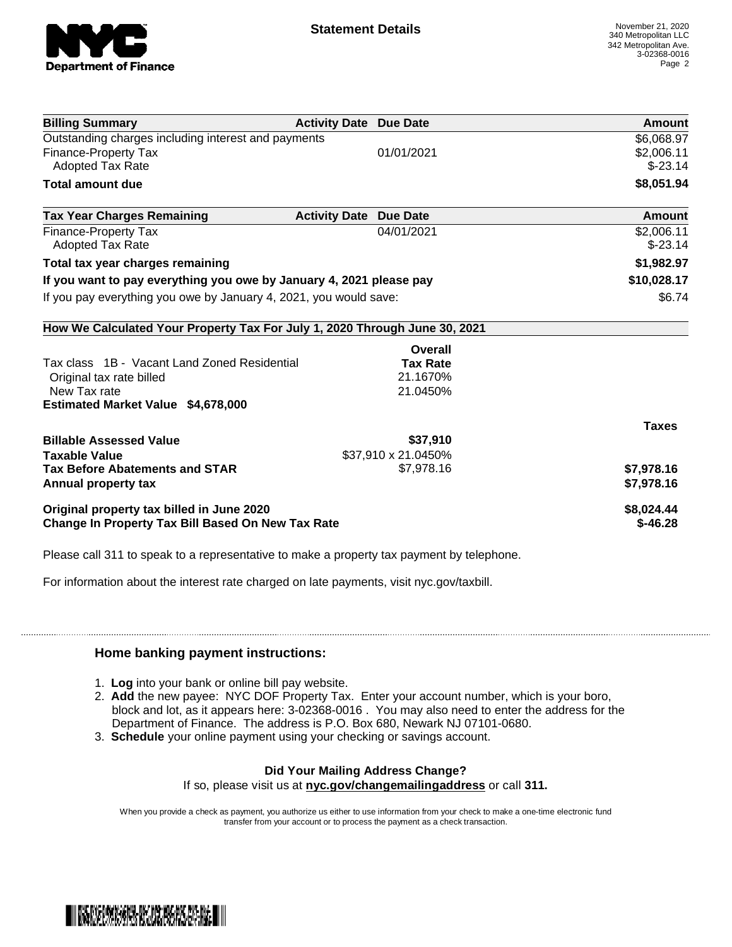

| <b>Billing Summary</b>                                                     | <b>Activity Date Due Date</b> |                     | Amount       |
|----------------------------------------------------------------------------|-------------------------------|---------------------|--------------|
| Outstanding charges including interest and payments                        |                               |                     | \$6,068.97   |
| <b>Finance-Property Tax</b>                                                |                               | 01/01/2021          | \$2,006.11   |
| <b>Adopted Tax Rate</b>                                                    |                               |                     | $$-23.14$    |
| Total amount due                                                           |                               |                     | \$8,051.94   |
| <b>Tax Year Charges Remaining</b>                                          | <b>Activity Date</b>          | <b>Due Date</b>     | Amount       |
| Finance-Property Tax                                                       |                               | 04/01/2021          | \$2,006.11   |
| <b>Adopted Tax Rate</b>                                                    |                               |                     | $$-23.14$    |
| Total tax year charges remaining                                           |                               |                     | \$1,982.97   |
| If you want to pay everything you owe by January 4, 2021 please pay        |                               |                     | \$10,028.17  |
| If you pay everything you owe by January 4, 2021, you would save:          |                               | \$6.74              |              |
| How We Calculated Your Property Tax For July 1, 2020 Through June 30, 2021 |                               |                     |              |
|                                                                            |                               | Overall             |              |
| Tax class 1B - Vacant Land Zoned Residential                               |                               | <b>Tax Rate</b>     |              |
| Original tax rate billed                                                   |                               | 21.1670%            |              |
| New Tax rate                                                               |                               | 21.0450%            |              |
| <b>Estimated Market Value \$4,678,000</b>                                  |                               |                     |              |
|                                                                            |                               |                     | <b>Taxes</b> |
| <b>Billable Assessed Value</b>                                             |                               | \$37,910            |              |
| <b>Taxable Value</b>                                                       |                               | \$37,910 x 21.0450% |              |
| <b>Tax Before Abatements and STAR</b>                                      |                               | \$7,978.16          | \$7,978.16   |
| Annual property tax                                                        |                               |                     | \$7,978.16   |
| Original property tax billed in June 2020                                  |                               |                     | \$8,024.44   |
| <b>Change In Property Tax Bill Based On New Tax Rate</b>                   |                               |                     | $$-46.28$    |

Please call 311 to speak to a representative to make a property tax payment by telephone.

For information about the interest rate charged on late payments, visit nyc.gov/taxbill.

## **Home banking payment instructions:**

- 1. **Log** into your bank or online bill pay website.
- 2. **Add** the new payee: NYC DOF Property Tax. Enter your account number, which is your boro, block and lot, as it appears here: 3-02368-0016 . You may also need to enter the address for the Department of Finance. The address is P.O. Box 680, Newark NJ 07101-0680.
- 3. **Schedule** your online payment using your checking or savings account.

## **Did Your Mailing Address Change?**

If so, please visit us at **nyc.gov/changemailingaddress** or call **311.**

When you provide a check as payment, you authorize us either to use information from your check to make a one-time electronic fund transfer from your account or to process the payment as a check transaction.